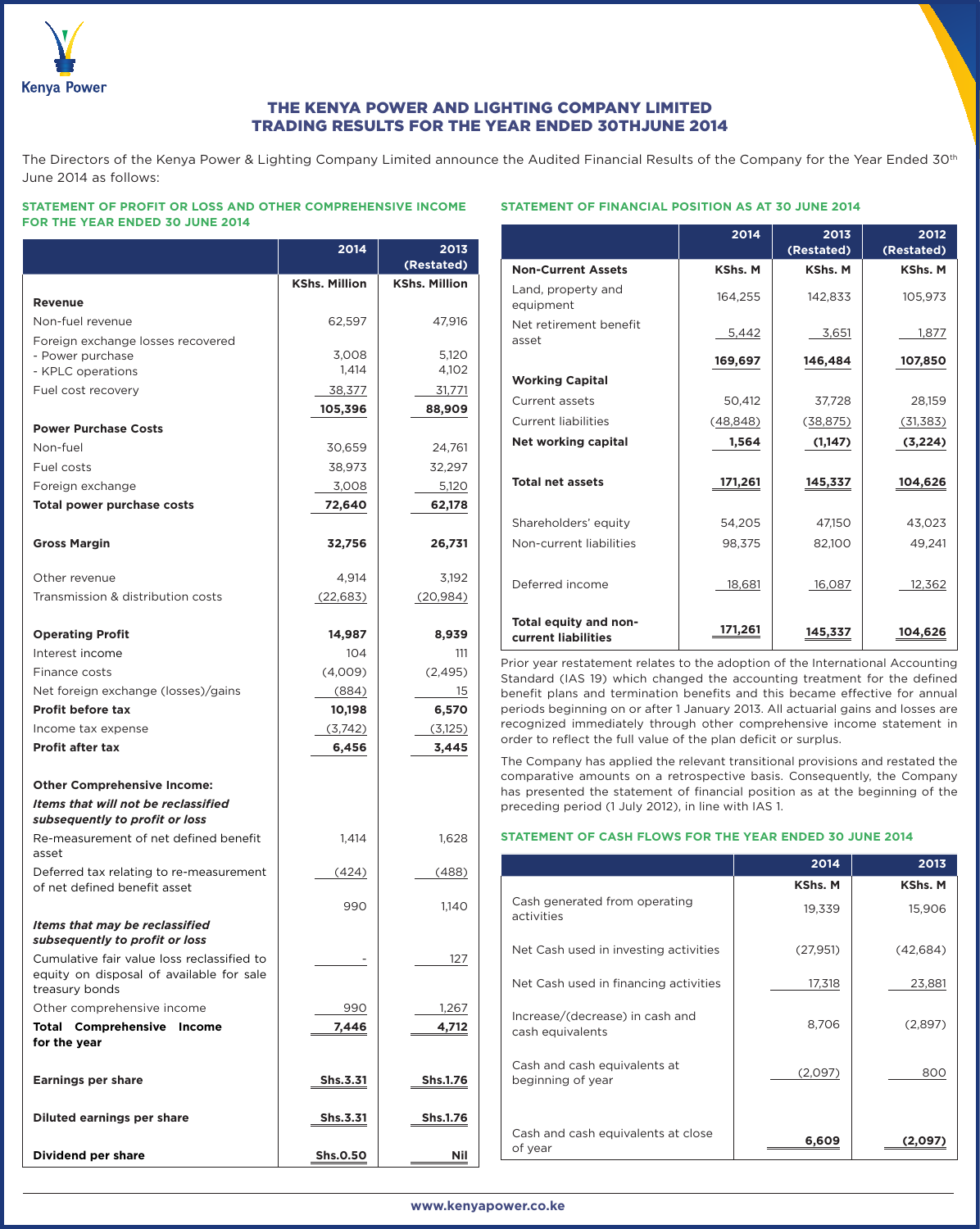

# THE KENYA POWER AND LIGHTING COMPANY LIMITED TRADING RESULTS FOR THE YEAR ENDED 30THJUNE 2014

The Directors of the Kenya Power & Lighting Company Limited announce the Audited Financial Results of the Company for the Year Ended 30<sup>th</sup> June 2014 as follows:

## **STATEMENT OF PROFIT OR LOSS AND OTHER COMPREHENSIVE INCOME FOR THE YEAR ENDED 30 JUNE 2014**

|                                                                                                          | 2014                 | 2013<br>(Restated)   |
|----------------------------------------------------------------------------------------------------------|----------------------|----------------------|
|                                                                                                          | <b>KShs. Million</b> | <b>KShs. Million</b> |
| <b>Revenue</b>                                                                                           |                      |                      |
| Non-fuel revenue                                                                                         | 62,597               | 47,916               |
| Foreign exchange losses recovered                                                                        |                      |                      |
| - Power purchase                                                                                         | 3,008                | 5,120                |
| - KPLC operations                                                                                        | 1,414                | 4,102                |
| Fuel cost recovery                                                                                       | 38,377               | 31,771               |
|                                                                                                          | 105,396              | 88,909               |
| <b>Power Purchase Costs</b>                                                                              |                      |                      |
| Non-fuel                                                                                                 | 30,659               | 24,761               |
| Fuel costs                                                                                               | 38,973               | 32,297               |
| Foreign exchange                                                                                         | 3,008                | 5,120                |
| <b>Total power purchase costs</b>                                                                        | 72,640               | 62,178               |
| <b>Gross Margin</b>                                                                                      | 32,756               | 26,731               |
| Other revenue                                                                                            | 4,914                | 3,192                |
| Transmission & distribution costs                                                                        | (22, 683)            | (20, 984)            |
| <b>Operating Profit</b>                                                                                  | 14,987               | 8,939                |
| Interest income                                                                                          | 104                  | 111                  |
| Finance costs                                                                                            | (4,009)              | (2, 495)             |
| Net foreign exchange (losses)/gains                                                                      |                      |                      |
| <b>Profit before tax</b>                                                                                 | (884)<br>10,198      | 15<br>6,570          |
| Income tax expense                                                                                       | (3,742)              |                      |
| <b>Profit after tax</b>                                                                                  | 6,456                | (3,125)<br>3,445     |
|                                                                                                          |                      |                      |
| <b>Other Comprehensive Income:</b>                                                                       |                      |                      |
| Items that will not be reclassified<br>subsequently to profit or loss                                    |                      |                      |
| Re-measurement of net defined benefit<br>asset                                                           | 1,414                | 1,628                |
| Deferred tax relating to re-measurement<br>of net defined benefit asset                                  | (424)                | (488)                |
|                                                                                                          | 990                  | 1,140                |
| Items that may be reclassified<br>subsequently to profit or loss                                         |                      |                      |
| Cumulative fair value loss reclassified to<br>equity on disposal of available for sale<br>treasury bonds |                      | 127                  |
| Other comprehensive income                                                                               | 990                  | 1,267                |
| <b>Total Comprehensive Income</b><br>for the year                                                        | 7,446                | 4,712                |
| <b>Earnings per share</b>                                                                                | Shs.3.31             | <b>Shs.1.76</b>      |
| <b>Diluted earnings per share</b>                                                                        | Shs.3.31             | Shs.1.76             |
| <b>Dividend per share</b>                                                                                | <b>Shs.0.50</b>      | <b>Nil</b>           |

## **STATEMENT OF FINANCIAL POSITION AS AT 30 JUNE 2014**

|                                              | 2014           | 2013<br>(Restated) | 2012<br>(Restated) |
|----------------------------------------------|----------------|--------------------|--------------------|
| <b>Non-Current Assets</b>                    | <b>KShs. M</b> | <b>KShs. M</b>     | <b>KShs. M</b>     |
| Land, property and<br>equipment              | 164,255        | 142,833            | 105,973            |
| Net retirement benefit<br>asset              | 5,442          | 3,651              | 1,877              |
|                                              | 169,697        | 146,484            | 107,850            |
| <b>Working Capital</b>                       |                |                    |                    |
| Current assets                               | 50,412         | 37,728             | 28,159             |
| <b>Current liabilities</b>                   | (48, 848)      | (38, 875)          | (31, 383)          |
| <b>Net working capital</b>                   | 1,564          | (1,147)            | (3,224)            |
|                                              |                |                    |                    |
| <b>Total net assets</b>                      | 171,261        | 145,337            | 104,626            |
|                                              |                |                    |                    |
| Shareholders' equity                         | 54,205         | 47,150             | 43,023             |
| Non-current liabilities                      | 98,375         | 82,100             | 49,241             |
|                                              |                |                    |                    |
| Deferred income                              | 18,681         | 16,087             | 12,362             |
|                                              |                |                    |                    |
| Total equity and non-<br>current liabilities | 171,261        | 145,337            | 104,626            |

Prior year restatement relates to the adoption of the International Accounting Standard (IAS 19) which changed the accounting treatment for the defined benefit plans and termination benefits and this became effective for annual periods beginning on or after 1 January 2013. All actuarial gains and losses are recognized immediately through other comprehensive income statement in order to reflect the full value of the plan deficit or surplus.

The Company has applied the relevant transitional provisions and restated the comparative amounts on a retrospective basis. Consequently, the Company has presented the statement of financial position as at the beginning of the preceding period (1 July 2012), in line with IAS 1.

#### **STATEMENT OF CASH FLOWS FOR THE YEAR ENDED 30 JUNE 2014**

|                                                     | 2014           | 2013     |
|-----------------------------------------------------|----------------|----------|
|                                                     | <b>KShs. M</b> | KShs. M  |
| Cash generated from operating<br>activities         | 19,339         | 15,906   |
| Net Cash used in investing activities               | (27,951)       | (42,684) |
| Net Cash used in financing activities               | 17,318         | 23,881   |
| Increase/(decrease) in cash and<br>cash equivalents | 8,706          | (2,897)  |
| Cash and cash equivalents at<br>beginning of year   | (2,097)        | 800      |
| Cash and cash equivalents at close<br>of year       | 6,609          | (2.09    |